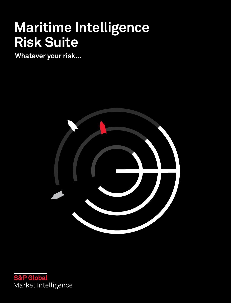# **Maritime Intelligence Risk Suite**

**Whatever your risk...**



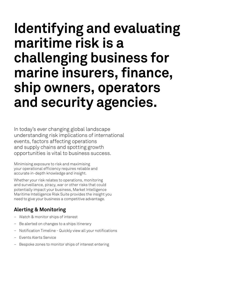# **Identifying and evaluating maritime risk is a challenging business for marine insurers, finance, ship owners, operators and security agencies.**

In today's ever changing global landscape understanding risk implications of international events, factors affecting operations and supply chains and spotting growth opportunities is vital to business success.

Minimising exposure to risk and maximising your operational efficiency requires reliable and accurate in-depth knowledge and insight.

Whether your risk relates to operations, monitoring and surveillance, piracy, war or other risks that could potentially impact your business, Market Intelligence Maritime Intelligence Risk Suite provides the insight you need to give your business a competitive advantage.

## **Alerting & Monitoring**

- Watch & monitor ships of interest
- Be alerted on changes to a ships itinerary
- Notification Timeline Quickly view all your notifications
- Events Alerts Service
- Bespoke zones to monitor ships of interest entering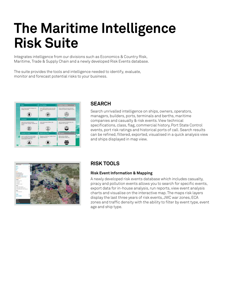# **The Maritime Intelligence Risk Suite**

Integrates intelligence from our divisions such as Economics & Country Risk, Maritime, Trade & Supply Chain and a newly developed Risk Events database.

The suite provides the tools and intelligence needed to identify, evaluate, monitor and forecast potential risks to your business.



### **SEARCH**

Search unrivalled intelligence on ships, owners, operators, managers, builders, ports, terminals and berths, maritime companies and casualty & risk events. View technical specifications, class, flag, commercial history, Port State Control events, port risk ratings and historical ports of call. Search results can be refined, filtered, exported, visualised in a quick analysis view and ships displayed in map view.



## **RISK TOOLS**

### **Risk Event Information & Mapping**

A newly developed risk events database which includes casualty, piracy and pollution events allows you to search for specific events, export data for in-house analysis, run reports, view event analysis charts and visualise on the interactive map. The maps risk layers display the last three years of risk events, JWC war zones, ECA zones and traffic density with the ability to filter by event type, event age and ship type.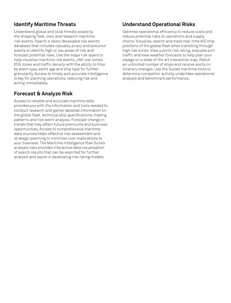## **Identify Maritime Threats**

Understand global and local threats posed by the shipping fleet, view and research maritime risk events. Search a newly developed risk events database that includes casualty, piracy and pollution events to identify high or low areas of risk and forecast potential risks. Use the maps risk layers to help visualise maritime risk events, JWC war zones, ECA zones and traffic density with the ability to filter by event type, event age and ship type for further granularity. Access to timely and accurate intelligence is key for planning operations, reducing risk and acting immediately.

## **Forecast & Analyze Risk**

Access to reliable and accurate maritime data provides you with the information and tools needed to conduct research and gather detailed information on the global fleet, technical ship specifications, trading patterns and risk event analysis. Forecast change in trends that may affect future premiums and business opportunities. Access to comprehensive maritime data sources helps effective risk assessment and strategic planning to minimise cost implications to your business. The Maritime Intelligence Risk Suite's analysis view provides interactive data visualisation of search results that can be exported for further analysis and assist in developing risk rating models.

## **Understand Operational Risks**

Optimise operational efficiency to reduce costs and reduce potential risks to operations and supply chains. Visualise, search and track real-time AIS ship positions of the global fleet when transiting through high risk zones. View a ports risk rating, evaluate port traffic and view weather forecasts to help plan your voyage on a state of the art interactive map. Watch an unlimited number of ships and receive alerts on itinerary changes. Use the Suite's maritime tools to determine competitor activity, undertake operational analysis and benchmark performance.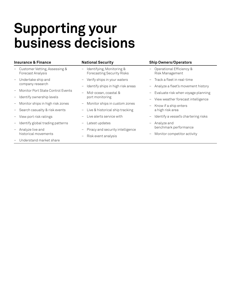# **Supporting your business decisions**

| Insurance & Finance                                | <b>National Security</b>                                | <b>Ship Owners/Operators</b>                                     |
|----------------------------------------------------|---------------------------------------------------------|------------------------------------------------------------------|
| Customer Vetting, Assessing &<br>Forecast Analysis | Identifying, Monitoring &<br>Forecasting Security Risks | Operational Efficiency &<br>$\qquad \qquad -$<br>Risk Management |
| Undertake ship and<br>company research             | - Verify ships in your waters                           | - Track a fleet in real-time                                     |
|                                                    | Identify ships in high risk areas                       | Analyze a fleet's movement history<br>$\qquad \qquad -$          |
| Monitor Port State Control Events                  | Mid-ocean, coastal &<br>port monitoring                 | Evaluate risk when voyage planning<br>$\qquad \qquad -$          |
| Identify ownership levels                          |                                                         | View weather forecast intelligence<br>$\overline{\phantom{m}}$   |
| Monitor ships in high risk zones                   | Monitor ships in custom zones<br>$\qquad \qquad -$      | Know if a ship enters<br>$\qquad \qquad -$<br>a high risk area   |
| Search casualty & risk events                      | Live & historical ship tracking<br>$-$ .                |                                                                  |
| View port risk ratings                             | Live alerts service with                                | Identify a vessel's chartering risks<br>$\qquad \qquad -$        |
| Identify global trading patterns                   | Latest updates                                          | Analyze and<br>$\overline{\phantom{a}}$<br>benchmark performance |
| Analyze live and<br>historical movements           | Piracy and security intelligence                        |                                                                  |
|                                                    | Risk event analysis                                     | Monitor competitor activity<br>$\qquad \qquad -$                 |
| Understand market share                            |                                                         |                                                                  |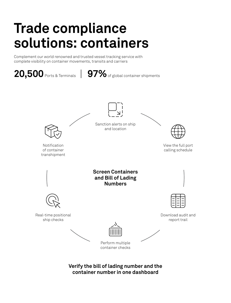# **Trade compliance solutions: containers**

Complement our world renowned and trusted vessel tracking service with complete visibility on container movements, transits and carriers



**Verify the bill of lading number and the container number in one dashboard**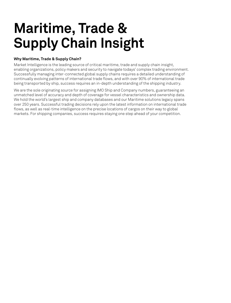# **Maritime, Trade & Supply Chain Insight**

#### **Why Maritime, Trade & Supply Chain?**

Market Intelligence is the leading source of critical maritime, trade and supply chain insight, enabling organizations, policy makers and security to navigate todays' complex trading environment. Successfully managing inter-connected global supply chains requires a detailed understanding of continually evolving patterns of international trade flows, and with over 90% of international trade being transported by ship, success requires an in-depth understanding of the shipping industry.

We are the sole originating source for assigning IMO Ship and Company numbers, guaranteeing an unmatched level of accuracy and depth of coverage for vessel characteristics and ownership data. We hold the world's largest ship and company databases and our Maritime solutions legacy spans over 250 years. Successful trading decisions rely upon the latest information on international trade flows, as well as real-time intelligence on the precise locations of cargos on their way to global markets. For shipping companies, success requires staying one step ahead of your competition.